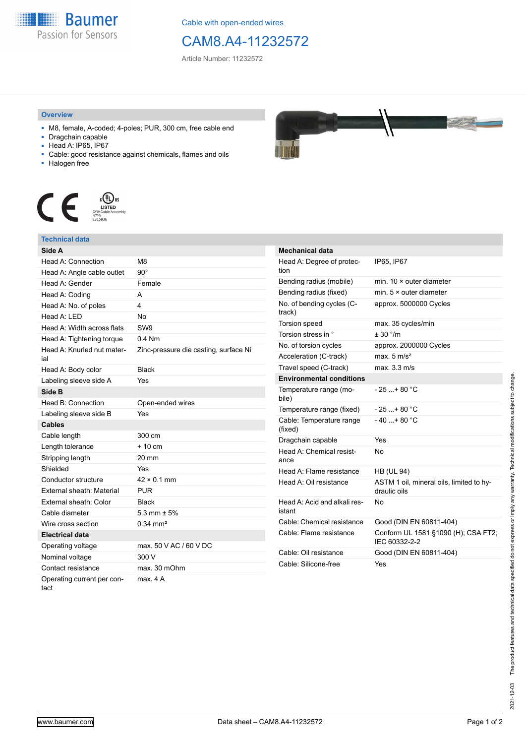

Cable with open-ended wires

## CAM8.A4-11232572

Article Number: 11232572

## **Overview**

- M8, female, A-coded; 4-poles; PUR, 300 cm, free cable end
- Dragchain capable
- Head A: IP65, IP67
- Cable: good resistance against chemicals, flames and oils
- Halogen free



## **Technical data**

| Side A                            |                                       |
|-----------------------------------|---------------------------------------|
| Head A: Connection                | M8                                    |
| Head A: Angle cable outlet        | $90^\circ$                            |
| Head A: Gender                    | Female                                |
| Head A: Coding                    | А                                     |
| Head A: No. of poles              | 4                                     |
| Head A: LED                       | <b>No</b>                             |
| Head A: Width across flats        | SW <sub>9</sub>                       |
| Head A: Tightening torque         | $0.4$ Nm                              |
| Head A: Knurled nut mater-<br>ial | Zinc-pressure die casting, surface Ni |
| Head A: Body color                | <b>Black</b>                          |
| Labeling sleeve side A            | Yes                                   |
| Side B                            |                                       |
| Head B: Connection                | Open-ended wires                      |
| Labeling sleeve side B            | Yes                                   |
| <b>Cables</b>                     |                                       |
| Cable length                      | 300 cm                                |
| Length tolerance                  | $+10 \text{ cm}$                      |
| Stripping length                  | 20 mm                                 |
| Shielded                          | Yes                                   |
| Conductor structure               | $42 \times 0.1$ mm                    |
| <b>External sheath: Material</b>  | <b>PUR</b>                            |
| External sheath: Color            | <b>Black</b>                          |
| Cable diameter                    | 5.3 mm $\pm$ 5%                       |
| Wire cross section                |                                       |
|                                   | $0.34 \, \text{mm}^2$                 |
| <b>Electrical data</b>            |                                       |
| Operating voltage                 | max. 50 V AC / 60 V DC                |
| Nominal voltage                   | 300 V                                 |
| Contact resistance                | max. 30 mOhm                          |



| <b>Mechanical data</b>                 |                                                          |
|----------------------------------------|----------------------------------------------------------|
| Head A: Degree of protec-<br>tion      | IP65, IP67                                               |
| Bending radius (mobile)                | min. $10 \times$ outer diameter                          |
| Bending radius (fixed)                 | min. $5 \times$ outer diameter                           |
| No. of bending cycles (C-<br>track)    | approx. 5000000 Cycles                                   |
| <b>Torsion speed</b>                   | max. 35 cycles/min                                       |
| Torsion stress in °                    | $+30$ °/m                                                |
| No. of torsion cycles                  | approx. 2000000 Cycles                                   |
| Acceleration (C-track)                 | max. $5 \text{ m/s}^2$                                   |
| Travel speed (C-track)                 | max. 3.3 m/s                                             |
| <b>Environmental conditions</b>        |                                                          |
| Temperature range (mo-<br>bile)        | - 25 + 80 °C                                             |
| Temperature range (fixed)              | $-25+80 °C$                                              |
| Cable: Temperature range<br>(fixed)    | $-40+80 °C$                                              |
| Dragchain capable                      | Yes                                                      |
| Head A: Chemical resist-<br>ance       | N٥                                                       |
| Head A: Flame resistance               | <b>HB (UL 94)</b>                                        |
| Head A: Oil resistance                 | ASTM 1 oil, mineral oils, limited to hy-<br>draulic oils |
| Head A: Acid and alkali res-<br>istant | N٥                                                       |
| Cable: Chemical resistance             | Good (DIN EN 60811-404)                                  |
| Cable: Flame resistance                | Conform UL 1581 §1090 (H); CSA FT2;<br>IEC 60332-2-2     |
| Cable: Oil resistance                  | Good (DIN EN 60811-404)                                  |
| Cable: Silicone-free                   | Yes                                                      |